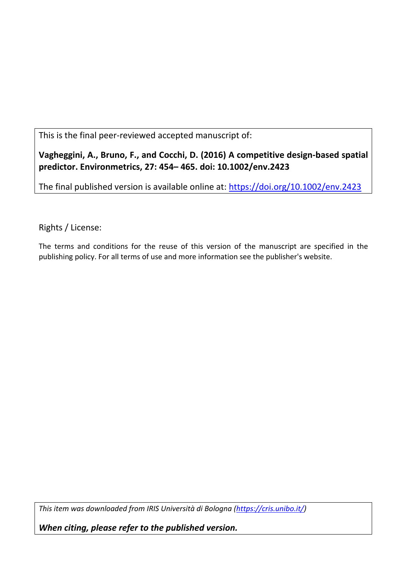This is the final peer-reviewed accepted manuscript of:

**Vagheggini, A., Bruno, F., and Cocchi, D. (2016) A competitive design-based spatial predictor. Environmetrics, 27: 454– 465. doi: 10.1002/env.2423** 

The final published version is available online at:<https://doi.org/10.1002/env.2423>

Rights / License:

The terms and conditions for the reuse of this version of the manuscript are specified in the publishing policy. For all terms of use and more information see the publisher's website.

*This item was downloaded from IRIS Università di Bologna [\(https://cris.unibo.it/\)](https://cris.unibo.it/)*

*When citing, please refer to the published version.*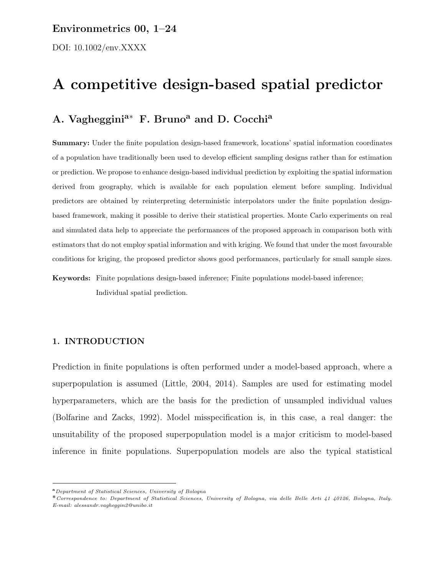### Environmetrics 00, 1–24

DOI: 10.1002/env.XXXX

# A competitive design-based spatial predictor

## A. Vagheggini<sup>a∗</sup> F. Bruno<sup>a</sup> and D. Cocchi<sup>a</sup>

Summary: Under the finite population design-based framework, locations' spatial information coordinates of a population have traditionally been used to develop efficient sampling designs rather than for estimation or prediction. We propose to enhance design-based individual prediction by exploiting the spatial information derived from geography, which is available for each population element before sampling. Individual predictors are obtained by reinterpreting deterministic interpolators under the finite population designbased framework, making it possible to derive their statistical properties. Monte Carlo experiments on real and simulated data help to appreciate the performances of the proposed approach in comparison both with estimators that do not employ spatial information and with kriging. We found that under the most favourable conditions for kriging, the proposed predictor shows good performances, particularly for small sample sizes.

Keywords: Finite populations design-based inference; Finite populations model-based inference; Individual spatial prediction.

#### 1. INTRODUCTION

Prediction in finite populations is often performed under a model-based approach, where a superpopulation is assumed (Little, 2004, 2014). Samples are used for estimating model hyperparameters, which are the basis for the prediction of unsampled individual values (Bolfarine and Zacks, 1992). Model misspecification is, in this case, a real danger: the unsuitability of the proposed superpopulation model is a major criticism to model-based inference in finite populations. Superpopulation models are also the typical statistical

<sup>&</sup>lt;sup>a</sup>Department of Statistical Sciences, University of Bologna

<sup>˚</sup>Correspondence to: Department of Statistical Sciences, University of Bologna, via delle Belle Arti 41 40126, Bologna, Italy. E-mail: alessandr.vagheggin2@unibo.it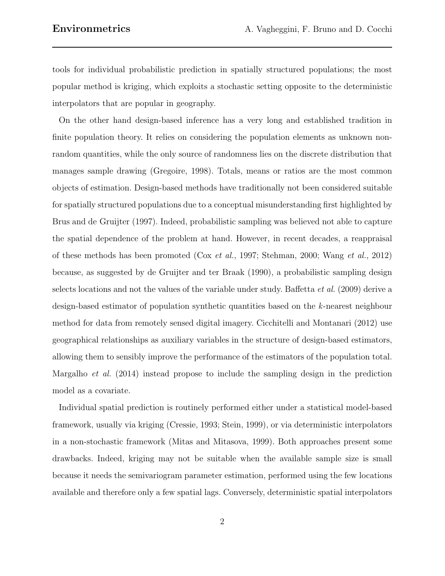tools for individual probabilistic prediction in spatially structured populations; the most popular method is kriging, which exploits a stochastic setting opposite to the deterministic interpolators that are popular in geography.

On the other hand design-based inference has a very long and established tradition in finite population theory. It relies on considering the population elements as unknown nonrandom quantities, while the only source of randomness lies on the discrete distribution that manages sample drawing (Gregoire, 1998). Totals, means or ratios are the most common objects of estimation. Design-based methods have traditionally not been considered suitable for spatially structured populations due to a conceptual misunderstanding first highlighted by Brus and de Gruijter (1997). Indeed, probabilistic sampling was believed not able to capture the spatial dependence of the problem at hand. However, in recent decades, a reappraisal of these methods has been promoted (Cox et al., 1997; Stehman, 2000; Wang et al., 2012) because, as suggested by de Gruijter and ter Braak (1990), a probabilistic sampling design selects locations and not the values of the variable under study. Baffetta et al. (2009) derive a design-based estimator of population synthetic quantities based on the k-nearest neighbour method for data from remotely sensed digital imagery. Cicchitelli and Montanari (2012) use geographical relationships as auxiliary variables in the structure of design-based estimators, allowing them to sensibly improve the performance of the estimators of the population total. Margalho et al. (2014) instead propose to include the sampling design in the prediction model as a covariate.

Individual spatial prediction is routinely performed either under a statistical model-based framework, usually via kriging (Cressie, 1993; Stein, 1999), or via deterministic interpolators in a non-stochastic framework (Mitas and Mitasova, 1999). Both approaches present some drawbacks. Indeed, kriging may not be suitable when the available sample size is small because it needs the semivariogram parameter estimation, performed using the few locations available and therefore only a few spatial lags. Conversely, deterministic spatial interpolators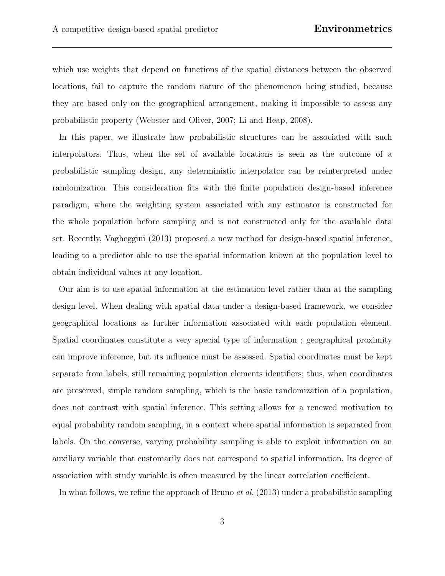which use weights that depend on functions of the spatial distances between the observed locations, fail to capture the random nature of the phenomenon being studied, because they are based only on the geographical arrangement, making it impossible to assess any probabilistic property (Webster and Oliver, 2007; Li and Heap, 2008).

In this paper, we illustrate how probabilistic structures can be associated with such interpolators. Thus, when the set of available locations is seen as the outcome of a probabilistic sampling design, any deterministic interpolator can be reinterpreted under randomization. This consideration fits with the finite population design-based inference paradigm, where the weighting system associated with any estimator is constructed for the whole population before sampling and is not constructed only for the available data set. Recently, Vagheggini (2013) proposed a new method for design-based spatial inference, leading to a predictor able to use the spatial information known at the population level to obtain individual values at any location.

Our aim is to use spatial information at the estimation level rather than at the sampling design level. When dealing with spatial data under a design-based framework, we consider geographical locations as further information associated with each population element. Spatial coordinates constitute a very special type of information ; geographical proximity can improve inference, but its influence must be assessed. Spatial coordinates must be kept separate from labels, still remaining population elements identifiers; thus, when coordinates are preserved, simple random sampling, which is the basic randomization of a population, does not contrast with spatial inference. This setting allows for a renewed motivation to equal probability random sampling, in a context where spatial information is separated from labels. On the converse, varying probability sampling is able to exploit information on an auxiliary variable that customarily does not correspond to spatial information. Its degree of association with study variable is often measured by the linear correlation coefficient.

In what follows, we refine the approach of Bruno *et al.* (2013) under a probabilistic sampling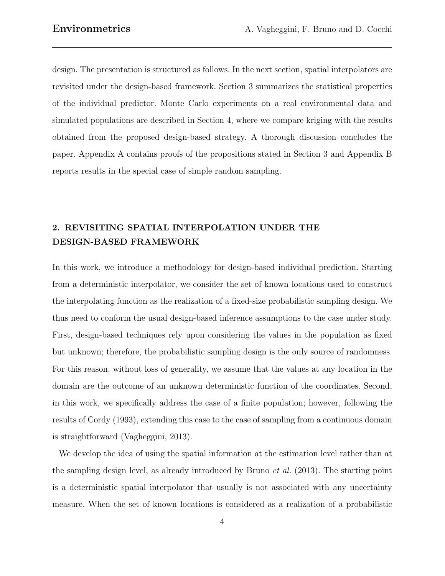design. The presentation is structured as follows. In the next section, spatial interpolators are revisited under the design-based framework. Section 3 summarizes the statistical properties of the individual predictor. Monte Carlo experiments on a real environmental data and simulated populations are described in Section 4, where we compare kriging with the results obtained from the proposed design-based strategy. A thorough discussion concludes the paper. Appendix A contains proofs of the propositions stated in Section 3 and Appendix B reports results in the special case of simple random sampling.

### 2. REVISITING SPATIAL INTERPOLATION UNDER THE DESIGN-BASED FRAMEWORK

In this work, we introduce a methodology for design-based individual prediction. Starting from a deterministic interpolator, we consider the set of known locations used to construct the interpolating function as the realization of a fixed-size probabilistic sampling design. We thus need to conform the usual design-based inference assumptions to the case under study. First, design-based techniques rely upon considering the values in the population as fixed but unknown; therefore, the probabilistic sampling design is the only source of randomness. For this reason, without loss of generality, we assume that the values at any location in the domain are the outcome of an unknown deterministic function of the coordinates. Second, in this work, we specifically address the case of a finite population; however, following the results of Cordy (1993), extending this case to the case of sampling from a continuous domain is straightforward (Vagheggini, 2013).

We develop the idea of using the spatial information at the estimation level rather than at the sampling design level, as already introduced by Bruno et al. (2013). The starting point is a deterministic spatial interpolator that usually is not associated with any uncertainty measure. When the set of known locations is considered as a realization of a probabilistic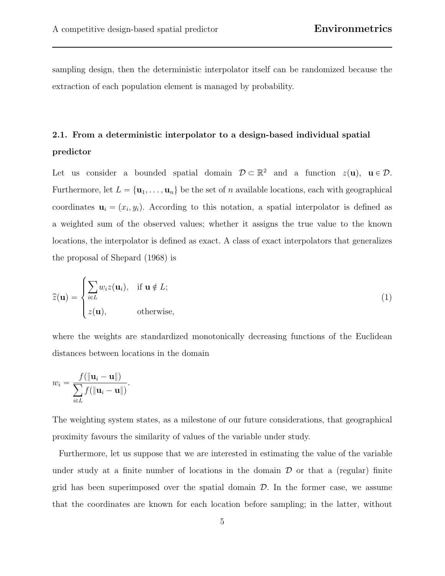sampling design, then the deterministic interpolator itself can be randomized because the extraction of each population element is managed by probability.

## 2.1. From a deterministic interpolator to a design-based individual spatial predictor

Let us consider a bounded spatial domain  $\mathcal{D} \subset \mathbb{R}^2$  and a function  $z(\mathbf{u})$ ,  $\mathbf{u} \in \mathcal{D}$ . Furthermore, let  $L = {\mathbf{u}_1, \dots, \mathbf{u}_n}$  be the set of n available locations, each with geographical coordinates  $\mathbf{u}_i = (x_i, y_i)$ . According to this notation, a spatial interpolator is defined as a weighted sum of the observed values; whether it assigns the true value to the known locations, the interpolator is defined as exact. A class of exact interpolators that generalizes the proposal of Shepard (1968) is

$$
\widehat{z}(\mathbf{u}) = \begin{cases}\n\sum_{i \in L} w_i z(\mathbf{u}_i), & \text{if } \mathbf{u} \notin L; \\
z(\mathbf{u}), & \text{otherwise,} \n\end{cases}
$$
\n(1)

where the weights are standardized monotonically decreasing functions of the Euclidean distances between locations in the domain

$$
w_i = \frac{f(\|\mathbf{u}_i - \mathbf{u}\|)}{\sum_{i \in L} f(\|\mathbf{u}_i - \mathbf{u}\|)}.
$$

The weighting system states, as a milestone of our future considerations, that geographical proximity favours the similarity of values of the variable under study.

Furthermore, let us suppose that we are interested in estimating the value of the variable under study at a finite number of locations in the domain  $\mathcal D$  or that a (regular) finite grid has been superimposed over the spatial domain  $\mathcal{D}$ . In the former case, we assume that the coordinates are known for each location before sampling; in the latter, without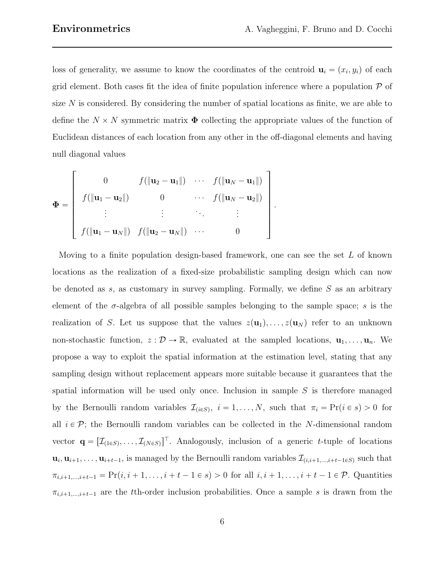$\mathbf{r}$ 

loss of generality, we assume to know the coordinates of the centroid  $\mathbf{u}_i = (x_i, y_i)$  of each grid element. Both cases fit the idea of finite population inference where a population  $P$  of size  $N$  is considered. By considering the number of spatial locations as finite, we are able to define the  $N \times N$  symmetric matrix  $\Phi$  collecting the appropriate values of the function of Euclidean distances of each location from any other in the off-diagonal elements and having null diagonal values

fi

$$
\Phi = \begin{bmatrix}\n0 & f(\Vert \mathbf{u}_2 - \mathbf{u}_1 \Vert) & \cdots & f(\Vert \mathbf{u}_N - \mathbf{u}_1 \Vert) \\
f(\Vert \mathbf{u}_1 - \mathbf{u}_2 \Vert) & 0 & \cdots & f(\Vert \mathbf{u}_N - \mathbf{u}_2 \Vert) \\
\vdots & \vdots & \ddots & \vdots \\
f(\Vert \mathbf{u}_1 - \mathbf{u}_N \Vert) & f(\Vert \mathbf{u}_2 - \mathbf{u}_N \Vert) & \cdots & 0\n\end{bmatrix}.
$$

Moving to a finite population design-based framework, one can see the set  $L$  of known locations as the realization of a fixed-size probabilistic sampling design which can now be denoted as s, as customary in survey sampling. Formally, we define  $S$  as an arbitrary element of the  $\sigma$ -algebra of all possible samples belonging to the sample space; s is the realization of S. Let us suppose that the values  $z(\mathbf{u}_1), \ldots, z(\mathbf{u}_N)$  refer to an unknown non-stochastic function,  $z : \mathcal{D} \to \mathbb{R}$ , evaluated at the sampled locations,  $\mathbf{u}_1, \ldots, \mathbf{u}_n$ . We propose a way to exploit the spatial information at the estimation level, stating that any sampling design without replacement appears more suitable because it guarantees that the spatial information will be used only once. Inclusion in sample  $S$  is therefore managed by the Bernoulli random variables  $\mathcal{I}_{(i \in S)}$ ,  $i = 1, ..., N$ , such that  $\pi_i = \Pr(i \in s) > 0$  for all  $i \in \mathcal{P}$ ; the Bernoulli random variables can be collected in the N-dimensional random vector  $\mathbf{q} = [\mathcal{I}_{(1\in S)}, \ldots, \mathcal{I}_{(N\in S)}]^\top$ . Analogously, inclusion of a generic t-tuple of locations  $\mathbf{u}_i, \mathbf{u}_{i+1}, \ldots, \mathbf{u}_{i+t-1}$ , is managed by the Bernoulli random variables  $\mathcal{I}_{(i,i+1,\ldots,i+t-1\in S)}$  such that  $\pi_{i,i+1,\dots,i+t-1} = \Pr(i, i + 1, \dots, i + t - 1 \in s) > 0$  for all  $i, i + 1, \dots, i + t - 1 \in \mathcal{P}$ . Quantities  $\pi_{i,i+1,\dots,i+t-1}$  are the tth-order inclusion probabilities. Once a sample s is drawn from the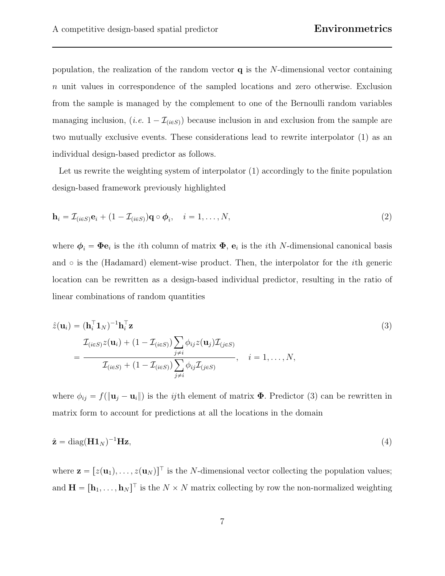population, the realization of the random vector  $q$  is the N-dimensional vector containing n unit values in correspondence of the sampled locations and zero otherwise. Exclusion from the sample is managed by the complement to one of the Bernoulli random variables managing inclusion,  $(i.e. 1 - \mathcal{I}_{(i \in S)})$  because inclusion in and exclusion from the sample are two mutually exclusive events. These considerations lead to rewrite interpolator (1) as an individual design-based predictor as follows.

Let us rewrite the weighting system of interpolator (1) accordingly to the finite population design-based framework previously highlighted

$$
\mathbf{h}_{i} = \mathcal{I}_{(i \in S)} \mathbf{e}_{i} + (1 - \mathcal{I}_{(i \in S)}) \mathbf{q} \circ \boldsymbol{\phi}_{i}, \quad i = 1, \dots, N,
$$
\n
$$
(2)
$$

where  $\phi_i = \Phi \mathbf{e}_i$  is the *i*th column of matrix  $\Phi$ ,  $\mathbf{e}_i$  is the *i*th N-dimensional canonical basis and  $\circ$  is the (Hadamard) element-wise product. Then, the interpolator for the *i*th generic location can be rewritten as a design-based individual predictor, resulting in the ratio of linear combinations of random quantities

$$
\hat{z}(\mathbf{u}_i) = (\mathbf{h}_i^{\top} \mathbf{1}_N)^{-1} \mathbf{h}_i^{\top} \mathbf{z}
$$
\n
$$
= \frac{\mathcal{I}_{(i \in S)} z(\mathbf{u}_i) + (1 - \mathcal{I}_{(i \in S)}) \sum_{j \neq i} \phi_{ij} z(\mathbf{u}_j) \mathcal{I}_{(j \in S)}}{\mathcal{I}_{(i \in S)} + (1 - \mathcal{I}_{(i \in S)}) \sum_{j \neq i} \phi_{ij} \mathcal{I}_{(j \in S)}}, \quad i = 1, ..., N,
$$
\n(3)

where  $\phi_{ij} = f(\|\mathbf{u}_j - \mathbf{u}_i\|)$  is the *ij*th element of matrix  $\Phi$ . Predictor (3) can be rewritten in matrix form to account for predictions at all the locations in the domain

$$
\hat{\mathbf{z}} = \text{diag}(\mathbf{H}\mathbf{1}_N)^{-1}\mathbf{H}\mathbf{z},\tag{4}
$$

where  $\mathbf{z} = [z(\mathbf{u}_1), \dots, z(\mathbf{u}_N)]^\top$  is the N-dimensional vector collecting the population values; and  $\mathbf{H} = [\mathbf{h}_1, \dots, \mathbf{h}_N]^\top$  is the  $N \times N$  matrix collecting by row the non-normalized weighting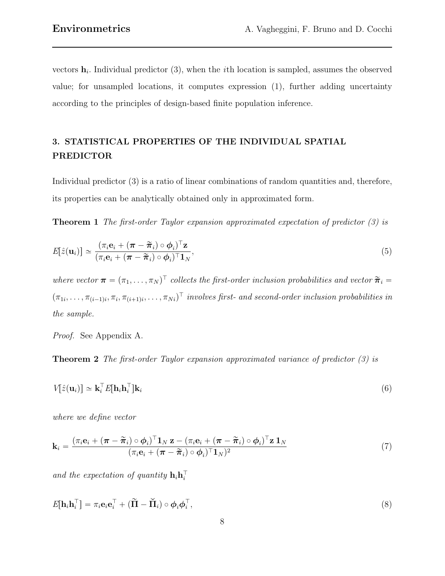vectors  $\mathbf{h}_i$ . Individual predictor (3), when the *i*th location is sampled, assumes the observed value; for unsampled locations, it computes expression (1), further adding uncertainty according to the principles of design-based finite population inference.

## 3. STATISTICAL PROPERTIES OF THE INDIVIDUAL SPATIAL PREDICTOR

Individual predictor (3) is a ratio of linear combinations of random quantities and, therefore, its properties can be analytically obtained only in approximated form.

Theorem 1 The first-order Taylor expansion approximated expectation of predictor (3) is

$$
E[\hat{z}(\mathbf{u}_i)] \simeq \frac{(\pi_i \mathbf{e}_i + (\boldsymbol{\pi} - \widetilde{\boldsymbol{\pi}}_i) \circ \boldsymbol{\phi}_i)^{\top} \mathbf{z}}{(\pi_i \mathbf{e}_i + (\boldsymbol{\pi} - \widetilde{\boldsymbol{\pi}}_i) \circ \boldsymbol{\phi}_i)^{\top} \mathbf{1}_N},
$$
\n(5)

where vector  $\boldsymbol{\pi} = (\pi_1, \dots, \pi_N)^\top$  collects the first-order inclusion probabilities and vector  $\tilde{\boldsymbol{\pi}}_i =$  $(\pi_{1i}, \ldots, \pi_{(i-1)i}, \pi_i, \pi_{(i+1)i}, \ldots, \pi_{Ni})^\top$  involves first- and second-order inclusion probabilities in the sample.

Proof. See Appendix A.

Theorem 2 The first-order Taylor expansion approximated variance of predictor (3) is

$$
V[\hat{z}(\mathbf{u}_i)] \simeq \mathbf{k}_i^\top E[\mathbf{h}_i \mathbf{h}_i^\top] \mathbf{k}_i \tag{6}
$$

where we define vector

$$
\mathbf{k}_{i} = \frac{(\pi_{i}\mathbf{e}_{i} + (\boldsymbol{\pi} - \widetilde{\boldsymbol{\pi}}_{i}) \circ \boldsymbol{\phi}_{i})^{\top} \mathbf{1}_{N} \mathbf{z} - (\pi_{i}\mathbf{e}_{i} + (\boldsymbol{\pi} - \widetilde{\boldsymbol{\pi}}_{i}) \circ \boldsymbol{\phi}_{i})^{\top} \mathbf{z} \mathbf{1}_{N}}{(\pi_{i}\mathbf{e}_{i} + (\boldsymbol{\pi} - \widetilde{\boldsymbol{\pi}}_{i}) \circ \boldsymbol{\phi}_{i})^{\top} \mathbf{1}_{N})^{2}}
$$
(7)

and the expectation of quantity  $\mathbf{h}_i \mathbf{h}_i^{\top}$ 

$$
E[\mathbf{h}_i \mathbf{h}_i^\top] = \pi_i \mathbf{e}_i \mathbf{e}_i^\top + (\widetilde{\mathbf{\Pi}} - \widetilde{\mathbf{\Pi}}_i) \circ \boldsymbol{\phi}_i \boldsymbol{\phi}_i^\top,\tag{8}
$$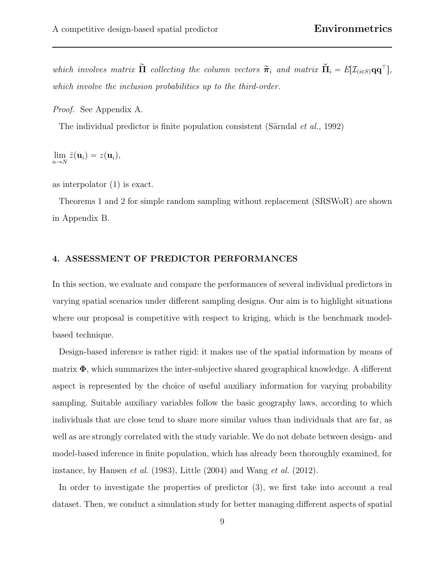which involves matrix  $\tilde{\mathbf{\Pi}}$  collecting the column vectors  $\tilde{\boldsymbol{\pi}}_i$  and matrix  $\check{\mathbf{\Pi}}_i = E[\mathcal{I}_{(i \in S)} \mathbf{q} \mathbf{q}^\top],$ which involve the inclusion probabilities up to the third-order.

Proof. See Appendix A.

The individual predictor is finite population consistent (Särndal *et al.*, 1992)

 $\lim_{n\to N}\hat{z}(\mathbf{u}_i)=z(\mathbf{u}_i),$ 

as interpolator (1) is exact.

Theorems 1 and 2 for simple random sampling without replacement (SRSWoR) are shown in Appendix B.

#### 4. ASSESSMENT OF PREDICTOR PERFORMANCES

In this section, we evaluate and compare the performances of several individual predictors in varying spatial scenarios under different sampling designs. Our aim is to highlight situations where our proposal is competitive with respect to kriging, which is the benchmark modelbased technique.

Design-based inference is rather rigid: it makes use of the spatial information by means of matrix  $\Phi$ , which summarizes the inter-subjective shared geographical knowledge. A different aspect is represented by the choice of useful auxiliary information for varying probability sampling. Suitable auxiliary variables follow the basic geography laws, according to which individuals that are close tend to share more similar values than individuals that are far, as well as are strongly correlated with the study variable. We do not debate between design- and model-based inference in finite population, which has already been thoroughly examined, for instance, by Hansen *et al.* (1983), Little  $(2004)$  and Wang *et al.* (2012).

In order to investigate the properties of predictor (3), we first take into account a real dataset. Then, we conduct a simulation study for better managing different aspects of spatial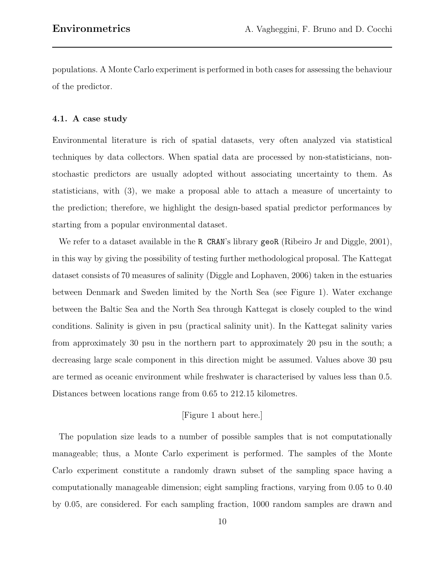populations. A Monte Carlo experiment is performed in both cases for assessing the behaviour of the predictor.

#### 4.1. A case study

Environmental literature is rich of spatial datasets, very often analyzed via statistical techniques by data collectors. When spatial data are processed by non-statisticians, nonstochastic predictors are usually adopted without associating uncertainty to them. As statisticians, with (3), we make a proposal able to attach a measure of uncertainty to the prediction; therefore, we highlight the design-based spatial predictor performances by starting from a popular environmental dataset.

We refer to a dataset available in the R CRAN's library geoR (Ribeiro Jr and Diggle, 2001), in this way by giving the possibility of testing further methodological proposal. The Kattegat dataset consists of 70 measures of salinity (Diggle and Lophaven, 2006) taken in the estuaries between Denmark and Sweden limited by the North Sea (see Figure 1). Water exchange between the Baltic Sea and the North Sea through Kattegat is closely coupled to the wind conditions. Salinity is given in psu (practical salinity unit). In the Kattegat salinity varies from approximately 30 psu in the northern part to approximately 20 psu in the south; a decreasing large scale component in this direction might be assumed. Values above 30 psu are termed as oceanic environment while freshwater is characterised by values less than 0.5. Distances between locations range from 0.65 to 212.15 kilometres.

#### [Figure 1 about here.]

The population size leads to a number of possible samples that is not computationally manageable; thus, a Monte Carlo experiment is performed. The samples of the Monte Carlo experiment constitute a randomly drawn subset of the sampling space having a computationally manageable dimension; eight sampling fractions, varying from 0.05 to 0.40 by 0.05, are considered. For each sampling fraction, 1000 random samples are drawn and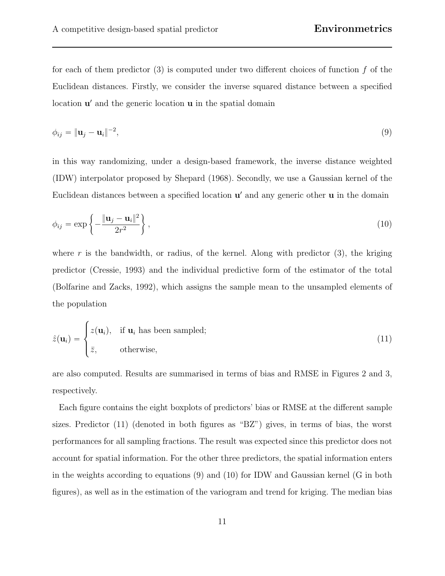for each of them predictor  $(3)$  is computed under two different choices of function f of the Euclidean distances. Firstly, we consider the inverse squared distance between a specified location  $\mathbf{u}'$  and the generic location  $\mathbf{u}$  in the spatial domain

$$
\phi_{ij} = \|\mathbf{u}_j - \mathbf{u}_i\|^{-2},\tag{9}
$$

in this way randomizing, under a design-based framework, the inverse distance weighted (IDW) interpolator proposed by Shepard (1968). Secondly, we use a Gaussian kernel of the Euclidean distances between a specified location  $\mathbf{u}'$  and any generic other  $\mathbf{u}$  in the domain

$$
\phi_{ij} = \exp\left\{-\frac{\|\mathbf{u}_j - \mathbf{u}_i\|^2}{2r^2}\right\},\tag{10}
$$

where r is the bandwidth, or radius, of the kernel. Along with predictor  $(3)$ , the kriging predictor (Cressie, 1993) and the individual predictive form of the estimator of the total (Bolfarine and Zacks, 1992), which assigns the sample mean to the unsampled elements of the population

$$
\hat{z}(\mathbf{u}_i) = \begin{cases} z(\mathbf{u}_i), & \text{if } \mathbf{u}_i \text{ has been sampled;} \\ \bar{z}, & \text{otherwise,} \end{cases}
$$
\n(11)

are also computed. Results are summarised in terms of bias and RMSE in Figures 2 and 3, respectively.

Each figure contains the eight boxplots of predictors' bias or RMSE at the different sample sizes. Predictor (11) (denoted in both figures as "BZ") gives, in terms of bias, the worst performances for all sampling fractions. The result was expected since this predictor does not account for spatial information. For the other three predictors, the spatial information enters in the weights according to equations (9) and (10) for IDW and Gaussian kernel (G in both figures), as well as in the estimation of the variogram and trend for kriging. The median bias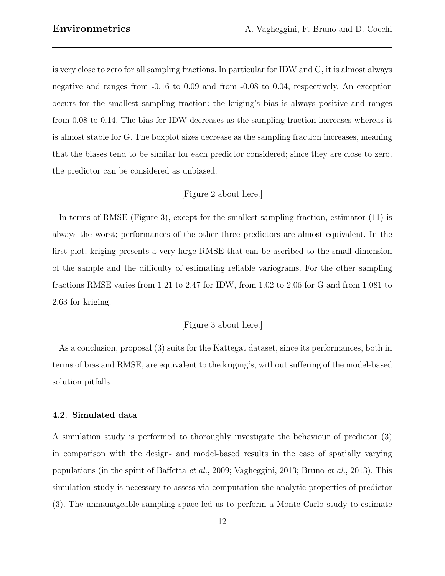is very close to zero for all sampling fractions. In particular for IDW and G, it is almost always negative and ranges from -0.16 to 0.09 and from -0.08 to 0.04, respectively. An exception occurs for the smallest sampling fraction: the kriging's bias is always positive and ranges from 0.08 to 0.14. The bias for IDW decreases as the sampling fraction increases whereas it is almost stable for G. The boxplot sizes decrease as the sampling fraction increases, meaning that the biases tend to be similar for each predictor considered; since they are close to zero, the predictor can be considered as unbiased.

#### [Figure 2 about here.]

In terms of RMSE (Figure 3), except for the smallest sampling fraction, estimator (11) is always the worst; performances of the other three predictors are almost equivalent. In the first plot, kriging presents a very large RMSE that can be ascribed to the small dimension of the sample and the difficulty of estimating reliable variograms. For the other sampling fractions RMSE varies from 1.21 to 2.47 for IDW, from 1.02 to 2.06 for G and from 1.081 to 2.63 for kriging.

#### [Figure 3 about here.]

As a conclusion, proposal (3) suits for the Kattegat dataset, since its performances, both in terms of bias and RMSE, are equivalent to the kriging's, without suffering of the model-based solution pitfalls.

#### 4.2. Simulated data

A simulation study is performed to thoroughly investigate the behaviour of predictor (3) in comparison with the design- and model-based results in the case of spatially varying populations (in the spirit of Baffetta et al., 2009; Vagheggini, 2013; Bruno et al., 2013). This simulation study is necessary to assess via computation the analytic properties of predictor (3). The unmanageable sampling space led us to perform a Monte Carlo study to estimate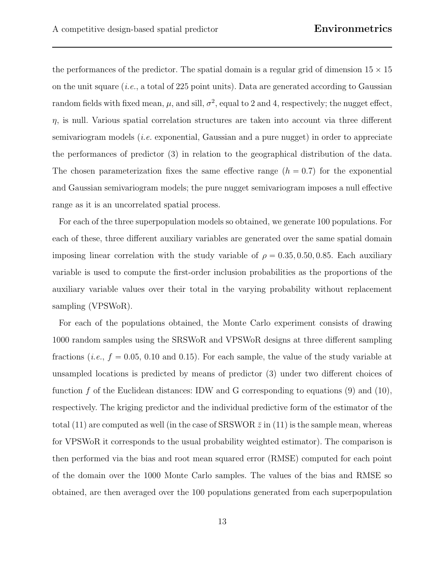the performances of the predictor. The spatial domain is a regular grid of dimension  $15 \times 15$ on the unit square (i.e., a total of 225 point units). Data are generated according to Gaussian random fields with fixed mean,  $\mu$ , and sill,  $\sigma^2$ , equal to 2 and 4, respectively; the nugget effect,  $\eta$ , is null. Various spatial correlation structures are taken into account via three different semivariogram models  $(i.e.$  exponential, Gaussian and a pure nugget) in order to appreciate the performances of predictor (3) in relation to the geographical distribution of the data. The chosen parameterization fixes the same effective range  $(h = 0.7)$  for the exponential and Gaussian semivariogram models; the pure nugget semivariogram imposes a null effective range as it is an uncorrelated spatial process.

For each of the three superpopulation models so obtained, we generate 100 populations. For each of these, three different auxiliary variables are generated over the same spatial domain imposing linear correlation with the study variable of  $\rho = 0.35, 0.50, 0.85$ . Each auxiliary variable is used to compute the first-order inclusion probabilities as the proportions of the auxiliary variable values over their total in the varying probability without replacement sampling (VPSWoR).

For each of the populations obtained, the Monte Carlo experiment consists of drawing 1000 random samples using the SRSWoR and VPSWoR designs at three different sampling fractions (*i.e.*,  $f = 0.05, 0.10$  and 0.15). For each sample, the value of the study variable at unsampled locations is predicted by means of predictor (3) under two different choices of function  $f$  of the Euclidean distances: IDW and G corresponding to equations (9) and (10), respectively. The kriging predictor and the individual predictive form of the estimator of the total (11) are computed as well (in the case of SRSWOR  $\bar{z}$  in (11) is the sample mean, whereas for VPSWoR it corresponds to the usual probability weighted estimator). The comparison is then performed via the bias and root mean squared error (RMSE) computed for each point of the domain over the 1000 Monte Carlo samples. The values of the bias and RMSE so obtained, are then averaged over the 100 populations generated from each superpopulation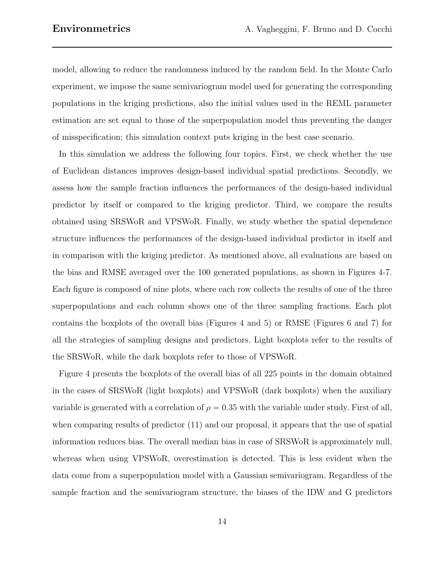model, allowing to reduce the randomness induced by the random field. In the Monte Carlo experiment, we impose the same semivariogram model used for generating the corresponding populations in the kriging predictions, also the initial values used in the REML parameter estimation are set equal to those of the superpopulation model thus preventing the danger of misspecification; this simulation context puts kriging in the best case scenario.

In this simulation we address the following four topics. First, we check whether the use of Euclidean distances improves design-based individual spatial predictions. Secondly, we assess how the sample fraction influences the performances of the design-based individual predictor by itself or compared to the kriging predictor. Third, we compare the results obtained using SRSWoR and VPSWoR. Finally, we study whether the spatial dependence structure influences the performances of the design-based individual predictor in itself and in comparison with the kriging predictor. As mentioned above, all evaluations are based on the bias and RMSE averaged over the 100 generated populations, as shown in Figures 4-7. Each figure is composed of nine plots, where each row collects the results of one of the three superpopulations and each column shows one of the three sampling fractions. Each plot contains the boxplots of the overall bias (Figures 4 and 5) or RMSE (Figures 6 and 7) for all the strategies of sampling designs and predictors. Light boxplots refer to the results of the SRSWoR, while the dark boxplots refer to those of VPSWoR.

Figure 4 presents the boxplots of the overall bias of all 225 points in the domain obtained in the cases of SRSWoR (light boxplots) and VPSWoR (dark boxplots) when the auxiliary variable is generated with a correlation of  $\rho = 0.35$  with the variable under study. First of all, when comparing results of predictor (11) and our proposal, it appears that the use of spatial information reduces bias. The overall median bias in case of SRSWoR is approximately null, whereas when using VPSWoR, overestimation is detected. This is less evident when the data come from a superpopulation model with a Gaussian semivariogram. Regardless of the sample fraction and the semivariogram structure, the biases of the IDW and G predictors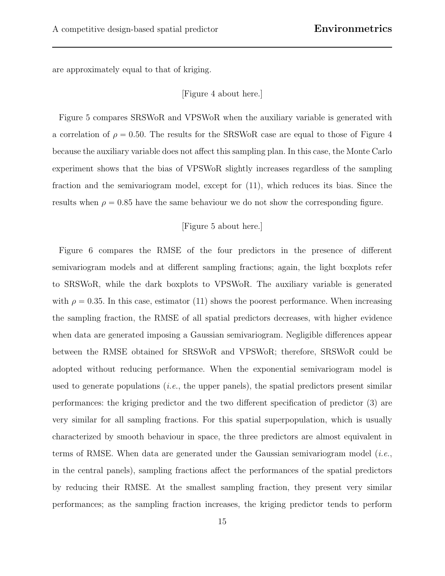are approximately equal to that of kriging.

[Figure 4 about here.]

Figure 5 compares SRSWoR and VPSWoR when the auxiliary variable is generated with a correlation of  $\rho = 0.50$ . The results for the SRSWoR case are equal to those of Figure 4 because the auxiliary variable does not affect this sampling plan. In this case, the Monte Carlo experiment shows that the bias of VPSWoR slightly increases regardless of the sampling fraction and the semivariogram model, except for (11), which reduces its bias. Since the results when  $\rho = 0.85$  have the same behaviour we do not show the corresponding figure.

#### [Figure 5 about here.]

Figure 6 compares the RMSE of the four predictors in the presence of different semivariogram models and at different sampling fractions; again, the light boxplots refer to SRSWoR, while the dark boxplots to VPSWoR. The auxiliary variable is generated with  $\rho = 0.35$ . In this case, estimator (11) shows the poorest performance. When increasing the sampling fraction, the RMSE of all spatial predictors decreases, with higher evidence when data are generated imposing a Gaussian semivariogram. Negligible differences appear between the RMSE obtained for SRSWoR and VPSWoR; therefore, SRSWoR could be adopted without reducing performance. When the exponential semivariogram model is used to generate populations (*i.e.*, the upper panels), the spatial predictors present similar performances: the kriging predictor and the two different specification of predictor (3) are very similar for all sampling fractions. For this spatial superpopulation, which is usually characterized by smooth behaviour in space, the three predictors are almost equivalent in terms of RMSE. When data are generated under the Gaussian semivariogram model  $(i.e.,$ in the central panels), sampling fractions affect the performances of the spatial predictors by reducing their RMSE. At the smallest sampling fraction, they present very similar performances; as the sampling fraction increases, the kriging predictor tends to perform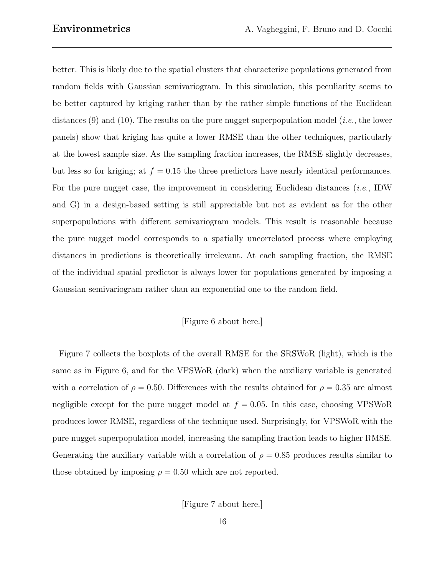better. This is likely due to the spatial clusters that characterize populations generated from random fields with Gaussian semivariogram. In this simulation, this peculiarity seems to be better captured by kriging rather than by the rather simple functions of the Euclidean distances (9) and (10). The results on the pure nugget superpopulation model (*i.e.*, the lower panels) show that kriging has quite a lower RMSE than the other techniques, particularly at the lowest sample size. As the sampling fraction increases, the RMSE slightly decreases, but less so for kriging; at  $f = 0.15$  the three predictors have nearly identical performances. For the pure nugget case, the improvement in considering Euclidean distances *(i.e., IDW*) and G) in a design-based setting is still appreciable but not as evident as for the other superpopulations with different semivariogram models. This result is reasonable because the pure nugget model corresponds to a spatially uncorrelated process where employing distances in predictions is theoretically irrelevant. At each sampling fraction, the RMSE of the individual spatial predictor is always lower for populations generated by imposing a Gaussian semivariogram rather than an exponential one to the random field.

#### [Figure 6 about here.]

Figure 7 collects the boxplots of the overall RMSE for the SRSWoR (light), which is the same as in Figure 6, and for the VPSWoR (dark) when the auxiliary variable is generated with a correlation of  $\rho = 0.50$ . Differences with the results obtained for  $\rho = 0.35$  are almost negligible except for the pure nugget model at  $f = 0.05$ . In this case, choosing VPSWoR produces lower RMSE, regardless of the technique used. Surprisingly, for VPSWoR with the pure nugget superpopulation model, increasing the sampling fraction leads to higher RMSE. Generating the auxiliary variable with a correlation of  $\rho = 0.85$  produces results similar to those obtained by imposing  $\rho = 0.50$  which are not reported.

[Figure 7 about here.]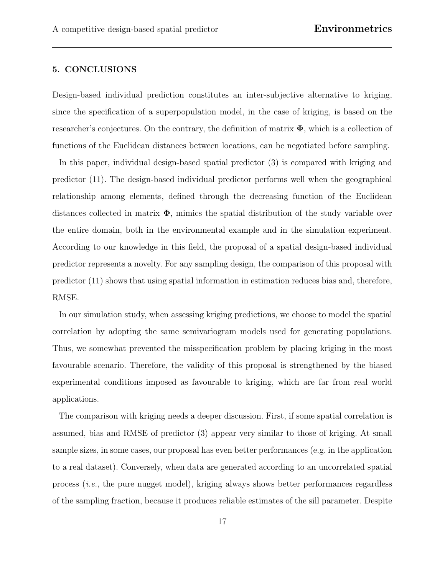#### 5. CONCLUSIONS

Design-based individual prediction constitutes an inter-subjective alternative to kriging, since the specification of a superpopulation model, in the case of kriging, is based on the researcher's conjectures. On the contrary, the definition of matrix  $\Phi$ , which is a collection of functions of the Euclidean distances between locations, can be negotiated before sampling.

In this paper, individual design-based spatial predictor (3) is compared with kriging and predictor (11). The design-based individual predictor performs well when the geographical relationship among elements, defined through the decreasing function of the Euclidean distances collected in matrix  $\Phi$ , mimics the spatial distribution of the study variable over the entire domain, both in the environmental example and in the simulation experiment. According to our knowledge in this field, the proposal of a spatial design-based individual predictor represents a novelty. For any sampling design, the comparison of this proposal with predictor (11) shows that using spatial information in estimation reduces bias and, therefore, RMSE.

In our simulation study, when assessing kriging predictions, we choose to model the spatial correlation by adopting the same semivariogram models used for generating populations. Thus, we somewhat prevented the misspecification problem by placing kriging in the most favourable scenario. Therefore, the validity of this proposal is strengthened by the biased experimental conditions imposed as favourable to kriging, which are far from real world applications.

The comparison with kriging needs a deeper discussion. First, if some spatial correlation is assumed, bias and RMSE of predictor (3) appear very similar to those of kriging. At small sample sizes, in some cases, our proposal has even better performances (e.g. in the application to a real dataset). Conversely, when data are generated according to an uncorrelated spatial process (i.e., the pure nugget model), kriging always shows better performances regardless of the sampling fraction, because it produces reliable estimates of the sill parameter. Despite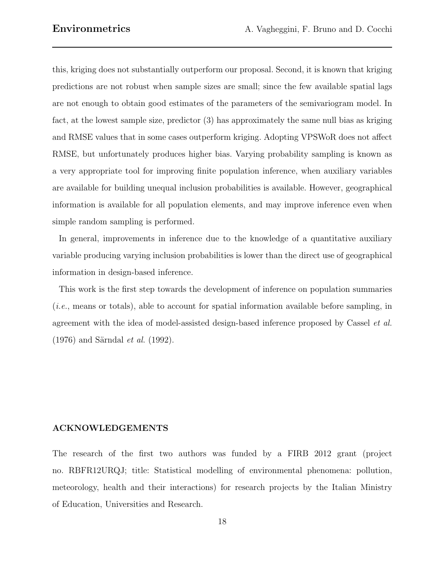this, kriging does not substantially outperform our proposal. Second, it is known that kriging predictions are not robust when sample sizes are small; since the few available spatial lags are not enough to obtain good estimates of the parameters of the semivariogram model. In fact, at the lowest sample size, predictor (3) has approximately the same null bias as kriging and RMSE values that in some cases outperform kriging. Adopting VPSWoR does not affect RMSE, but unfortunately produces higher bias. Varying probability sampling is known as a very appropriate tool for improving finite population inference, when auxiliary variables are available for building unequal inclusion probabilities is available. However, geographical information is available for all population elements, and may improve inference even when simple random sampling is performed.

In general, improvements in inference due to the knowledge of a quantitative auxiliary variable producing varying inclusion probabilities is lower than the direct use of geographical information in design-based inference.

This work is the first step towards the development of inference on population summaries (i.e., means or totals), able to account for spatial information available before sampling, in agreement with the idea of model-assisted design-based inference proposed by Cassel et al.  $(1976)$  and Särndal *et al.*  $(1992)$ .

#### ACKNOWLEDGEMENTS

The research of the first two authors was funded by a FIRB 2012 grant (project no. RBFR12URQJ; title: Statistical modelling of environmental phenomena: pollution, meteorology, health and their interactions) for research projects by the Italian Ministry of Education, Universities and Research.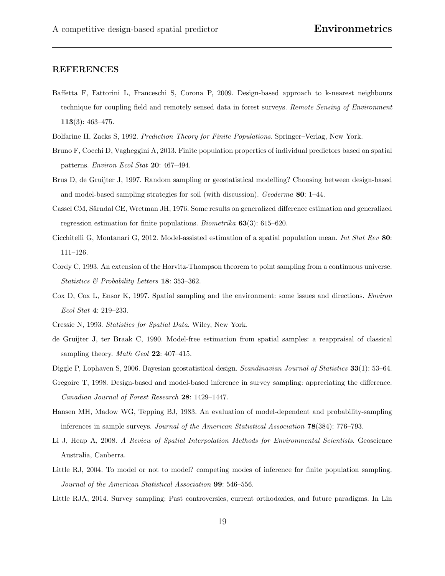#### REFERENCES

- Baffetta F, Fattorini L, Franceschi S, Corona P, 2009. Design-based approach to k-nearest neighbours technique for coupling field and remotely sensed data in forest surveys. Remote Sensing of Environment 113(3): 463–475.
- Bolfarine H, Zacks S, 1992. Prediction Theory for Finite Populations. Springer–Verlag, New York.
- Bruno F, Cocchi D, Vagheggini A, 2013. Finite population properties of individual predictors based on spatial patterns. Environ Ecol Stat 20: 467–494.
- Brus D, de Gruijter J, 1997. Random sampling or geostatistical modelling? Choosing between design-based and model-based sampling strategies for soil (with discussion). Geoderma 80: 1–44.
- Cassel CM, Särndal CE, Wretman JH, 1976. Some results on generalized difference estimation and generalized regression estimation for finite populations. Biometrika 63(3): 615–620.
- Cicchitelli G, Montanari G, 2012. Model-assisted estimation of a spatial population mean. Int Stat Rev 80: 111–126.
- Cordy C, 1993. An extension of the Horvitz-Thompson theorem to point sampling from a continuous universe. Statistics & Probability Letters 18: 353–362.
- Cox D, Cox L, Ensor K, 1997. Spatial sampling and the environment: some issues and directions. Environ Ecol Stat 4: 219–233.
- Cressie N, 1993. Statistics for Spatial Data. Wiley, New York.
- de Gruijter J, ter Braak C, 1990. Model-free estimation from spatial samples: a reappraisal of classical sampling theory. Math Geol 22: 407-415.
- Diggle P, Lophaven S, 2006. Bayesian geostatistical design. Scandinavian Journal of Statistics 33(1): 53–64.
- Gregoire T, 1998. Design-based and model-based inference in survey sampling: appreciating the difference. Canadian Journal of Forest Research 28: 1429–1447.
- Hansen MH, Madow WG, Tepping BJ, 1983. An evaluation of model-dependent and probability-sampling inferences in sample surveys. Journal of the American Statistical Association 78(384): 776–793.
- Li J, Heap A, 2008. A Review of Spatial Interpolation Methods for Environmental Scientists. Geoscience Australia, Canberra.
- Little RJ, 2004. To model or not to model? competing modes of inference for finite population sampling. Journal of the American Statistical Association 99: 546–556.
- Little RJA, 2014. Survey sampling: Past controversies, current orthodoxies, and future paradigms. In Lin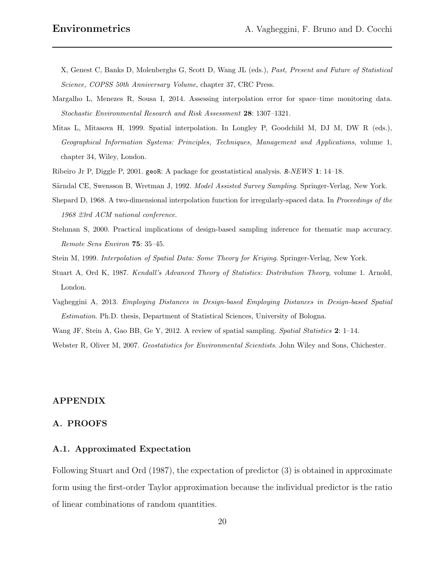X, Genest C, Banks D, Molenberghs G, Scott D, Wang JL (eds.), Past, Present and Future of Statistical Science, COPSS 50th Anniversary Volume, chapter 37, CRC Press.

- Margalho L, Menezes R, Sousa I, 2014. Assessing interpolation error for space–time monitoring data. Stochastic Environmental Research and Risk Assessment 28: 1307–1321.
- Mitas L, Mitasova H, 1999. Spatial interpolation. In Longley P, Goodchild M, DJ M, DW R (eds.), Geographical Information Systems: Principles, Techniques, Management and Applications, volume 1, chapter 34, Wiley, London.
- Ribeiro Jr P, Diggle P, 2001. geoR: A package for geostatistical analysis. R-NEWS 1: 14–18.
- Särndal CE, Swensson B, Wretman J, 1992. Model Assisted Survey Sampling. Springer-Verlag, New York.
- Shepard D, 1968. A two-dimensional interpolation function for irregularly-spaced data. In Proceedings of the 1968 23rd ACM national conference.
- Stehman S, 2000. Practical implications of design-based sampling inference for thematic map accuracy. Remote Sens Environ 75: 35–45.
- Stein M, 1999. Interpolation of Spatial Data: Some Theory for Kriging. Springer-Verlag, New York.
- Stuart A, Ord K, 1987. Kendall's Advanced Theory of Statistics: Distribution Theory, volume 1. Arnold, London.
- Vagheggini A, 2013. Employing Distances in Design-based Employing Distances in Design-based Spatial Estimation. Ph.D. thesis, Department of Statistical Sciences, University of Bologna.

Wang JF, Stein A, Gao BB, Ge Y, 2012. A review of spatial sampling. Spatial Statistics 2: 1–14.

Webster R, Oliver M, 2007. Geostatistics for Environmental Scientists. John Wiley and Sons, Chichester.

#### APPENDIX

#### A. PROOFS

#### A.1. Approximated Expectation

Following Stuart and Ord (1987), the expectation of predictor (3) is obtained in approximate form using the first-order Taylor approximation because the individual predictor is the ratio of linear combinations of random quantities.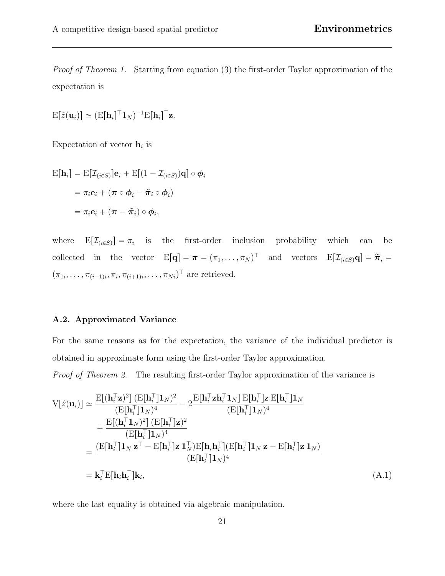Proof of Theorem 1. Starting from equation (3) the first-order Taylor approximation of the expectation is

$$
\mathrm{E}[\hat{z}(\mathbf{u}_i)] \simeq (\mathrm{E}[\mathbf{h}_i]^{\top} \mathbf{1}_N)^{-1} \mathrm{E}[\mathbf{h}_i]^{\top} \mathbf{z}.
$$

Expectation of vector  $\mathbf{h}_i$  is

$$
\begin{aligned} \mathbf{E}[\mathbf{h}_i] &= \mathbf{E}[\mathcal{I}_{(i\in S)}]\mathbf{e}_i + \mathbf{E}[(1-\mathcal{I}_{(i\in S)})\mathbf{q}] \circ \boldsymbol{\phi}_i \\ &= \pi_i \mathbf{e}_i + (\boldsymbol{\pi} \circ \boldsymbol{\phi}_i - \widetilde{\boldsymbol{\pi}}_i \circ \boldsymbol{\phi}_i) \\ &= \pi_i \mathbf{e}_i + (\boldsymbol{\pi} - \widetilde{\boldsymbol{\pi}}_i) \circ \boldsymbol{\phi}_i, \end{aligned}
$$

where  $E[\mathcal{I}_{(i \in S)}] = \pi_i$  is the first-order inclusion probability which can be collected in the vector  $E[q] = \boldsymbol{\pi} = (\pi_1, \dots, \pi_N)^\top$  and vectors  $E[\mathcal{I}_{(i \in S)} q] = \tilde{\boldsymbol{\pi}}_i =$  $(\pi_{1i}, \ldots, \pi_{(i-1)i}, \pi_i, \pi_{(i+1)i}, \ldots, \pi_{Ni})^\top$  are retrieved.

#### A.2. Approximated Variance

For the same reasons as for the expectation, the variance of the individual predictor is obtained in approximate form using the first-order Taylor approximation.

Proof of Theorem 2. The resulting first-order Taylor approximation of the variance is

$$
V[\hat{z}(\mathbf{u}_{i})] \simeq \frac{E[(\mathbf{h}_{i}^{\top}\mathbf{z})^{2}](E[\mathbf{h}_{i}^{\top}]\mathbf{1}_{N})^{2}}{(E[\mathbf{h}_{i}^{\top}]\mathbf{1}_{N})^{4}} - 2\frac{E[\mathbf{h}_{i}^{\top}\mathbf{z}\mathbf{h}_{i}^{\top}\mathbf{1}_{N}]\cdot E[\mathbf{h}_{i}^{\top}]\mathbf{z}\cdot E[\mathbf{h}_{i}^{\top}]\mathbf{1}_{N}}{(E[\mathbf{h}_{i}^{\top}]\mathbf{1}_{N})^{4}} + \frac{E[(\mathbf{h}_{i}^{\top}\mathbf{1}_{N})^{2}](E[\mathbf{h}_{i}^{\top}]\mathbf{z})^{2}}{(E[\mathbf{h}_{i}^{\top}]\mathbf{1}_{N})^{4}} = \frac{(E[\mathbf{h}_{i}^{\top}]\mathbf{1}_{N}\mathbf{z}^{\top} - E[\mathbf{h}_{i}^{\top}]\mathbf{z}\mathbf{1}_{N}^{\top})E[\mathbf{h}_{i}\mathbf{h}_{i}^{\top}](E[\mathbf{h}_{i}^{\top}]\mathbf{1}_{N}\mathbf{z} - E[\mathbf{h}_{i}^{\top}]\mathbf{z}\mathbf{1}_{N})}{(E[\mathbf{h}_{i}^{\top}]\mathbf{1}_{N})^{4}}
$$

$$
= \mathbf{k}_{i}^{\top}E[\mathbf{h}_{i}\mathbf{h}_{i}^{\top}]\mathbf{k}_{i}, \qquad (A.1)
$$

where the last equality is obtained via algebraic manipulation.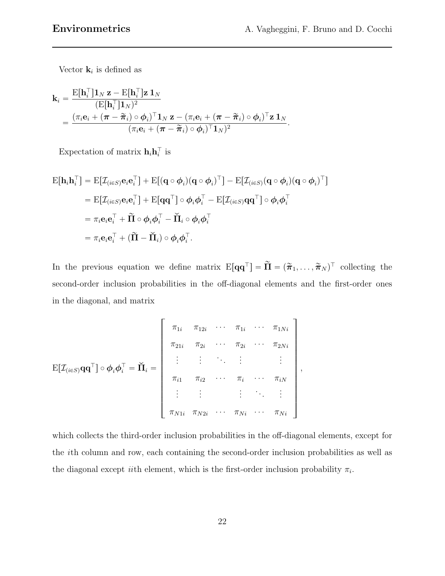Vector  $\mathbf{k}_i$  is defined as

$$
\mathbf{k}_{i} = \frac{\mathrm{E}[\mathbf{h}_{i}^{\top}]\mathbf{1}_{N}\,\mathbf{z} - \mathrm{E}[\mathbf{h}_{i}^{\top}]\mathbf{z}\,\mathbf{1}_{N}}{(\mathrm{E}[\mathbf{h}_{i}^{\top}]\mathbf{1}_{N})^{2}} = \frac{(\pi_{i}\mathbf{e}_{i} + (\boldsymbol{\pi} - \widetilde{\boldsymbol{\pi}}_{i}) \circ \boldsymbol{\phi}_{i})^{\top}\mathbf{1}_{N}\,\mathbf{z} - (\pi_{i}\mathbf{e}_{i} + (\boldsymbol{\pi} - \widetilde{\boldsymbol{\pi}}_{i}) \circ \boldsymbol{\phi}_{i})^{\top}\mathbf{z}\,\mathbf{1}_{N}}{(\pi_{i}\mathbf{e}_{i} + (\boldsymbol{\pi} - \widetilde{\boldsymbol{\pi}}_{i}) \circ \boldsymbol{\phi}_{i})^{\top}\mathbf{1}_{N})^{2}}.
$$

Expectation of matrix  $\mathbf{h}_i \mathbf{h}_i^{\top}$  is

$$
\begin{aligned} \mathbf{E}[\mathbf{h}_i \mathbf{h}_i^\top] &= \mathbf{E}[\mathcal{I}_{(i \in S)} \mathbf{e}_i \mathbf{e}_i^\top] + \mathbf{E}[(\mathbf{q} \circ \boldsymbol{\phi}_i)(\mathbf{q} \circ \boldsymbol{\phi}_i)^\top] - \mathbf{E}[\mathcal{I}_{(i \in S)}(\mathbf{q} \circ \boldsymbol{\phi}_i)(\mathbf{q} \circ \boldsymbol{\phi}_i)^\top] \\ &= \mathbf{E}[\mathcal{I}_{(i \in S)} \mathbf{e}_i \mathbf{e}_i^\top] + \mathbf{E}[\mathbf{q} \mathbf{q}^\top] \circ \boldsymbol{\phi}_i \boldsymbol{\phi}_i^\top - \mathbf{E}[\mathcal{I}_{(i \in S)} \mathbf{q} \mathbf{q}^\top] \circ \boldsymbol{\phi}_i \boldsymbol{\phi}_i^\top] \\ &= \pi_i \mathbf{e}_i \mathbf{e}_i^\top + \widetilde{\mathbf{\Pi}} \circ \boldsymbol{\phi}_i \boldsymbol{\phi}_i^\top - \widetilde{\mathbf{\Pi}}_i \circ \boldsymbol{\phi}_i \boldsymbol{\phi}_i^\top \\ &= \pi_i \mathbf{e}_i \mathbf{e}_i^\top + (\widetilde{\mathbf{\Pi}} - \widetilde{\mathbf{\Pi}}_i) \circ \boldsymbol{\phi}_i \boldsymbol{\phi}_i^\top. \end{aligned}
$$

In the previous equation we define matrix  $E[\mathbf{q}\mathbf{q}^{\top}] = \widetilde{\mathbf{\Pi}} = (\widetilde{\pi}_1, \ldots, \widetilde{\pi}_N)^{\top}$  collecting the second-order inclusion probabilities in the off-diagonal elements and the first-order ones in the diagonal, and matrix

fi

$$
E[\mathcal{I}_{(i \in S)}\mathbf{q}\mathbf{q}^{\top}]\circ \boldsymbol{\phi}_{i} \boldsymbol{\phi}_{i}^{\top} = \breve{\mathbf{\Pi}}_{i} = \begin{bmatrix} \pi_{1i} & \pi_{12i} & \cdots & \pi_{1i} & \cdots & \pi_{1Ni} \\ \pi_{21i} & \pi_{2i} & \cdots & \pi_{2i} & \cdots & \pi_{2Ni} \\ \vdots & \vdots & \ddots & \vdots & & \vdots \\ \pi_{i1} & \pi_{i2} & \cdots & \pi_{i} & \cdots & \pi_{iN} \\ \vdots & \vdots & \vdots & \ddots & \vdots \\ \pi_{N1i} & \pi_{N2i} & \cdots & \pi_{Ni} & \cdots & \pi_{Ni} \end{bmatrix},
$$

 $\mathbf{r}$ 

which collects the third-order inclusion probabilities in the off-diagonal elements, except for the ith column and row, each containing the second-order inclusion probabilities as well as the diagonal except *ii*th element, which is the first-order inclusion probability  $\pi_i$ .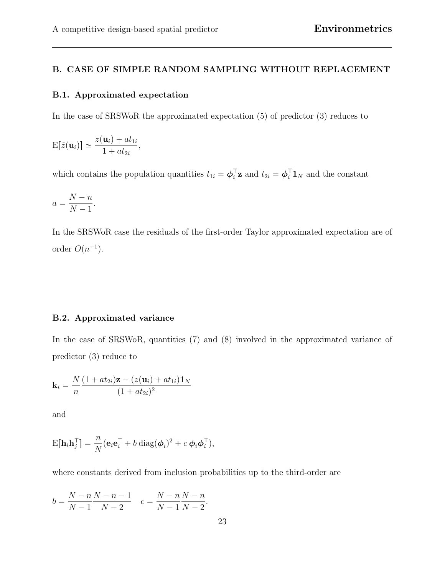#### B. CASE OF SIMPLE RANDOM SAMPLING WITHOUT REPLACEMENT

#### B.1. Approximated expectation

In the case of SRSWoR the approximated expectation (5) of predictor (3) reduces to

$$
\mathrm{E}[\hat{z}(\mathbf{u}_i)] \simeq \frac{z(\mathbf{u}_i) + at_{1i}}{1 + at_{2i}},
$$

which contains the population quantities  $t_{1i} = \boldsymbol{\phi}_i^{\top} \mathbf{z}$  and  $t_{2i} = \boldsymbol{\phi}_i^{\top} \mathbf{1}_N$  and the constant

$$
a = \frac{N-n}{N-1}.
$$

In the SRSWoR case the residuals of the first-order Taylor approximated expectation are of order  $O(n^{-1})$ .

#### B.2. Approximated variance

In the case of SRSWoR, quantities (7) and (8) involved in the approximated variance of predictor (3) reduce to

$$
\mathbf{k}_{i} = \frac{N}{n} \frac{(1+at_{2i})\mathbf{z} - (z(\mathbf{u}_{i}) + at_{1i})\mathbf{1}_{N}}{(1+at_{2i})^{2}}
$$

and

$$
\mathrm{E}[\mathbf{h}_i \mathbf{h}_j^\top] = \frac{n}{N} (\mathbf{e}_i \mathbf{e}_i^\top + b \operatorname{diag}(\boldsymbol{\phi}_i)^2 + c \, \boldsymbol{\phi}_i \boldsymbol{\phi}_i^\top),
$$

where constants derived from inclusion probabilities up to the third-order are

$$
b = \frac{N-n}{N-1} \frac{N-n-1}{N-2} \quad c = \frac{N-n}{N-1} \frac{N-n}{N-2}.
$$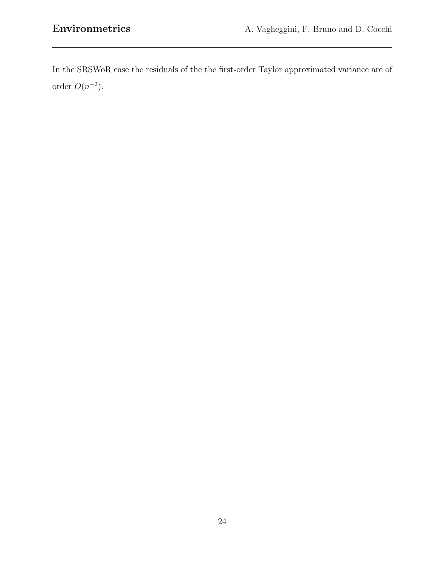In the SRSWoR case the residuals of the the first-order Taylor approximated variance are of order  $O(n^{-2})$ .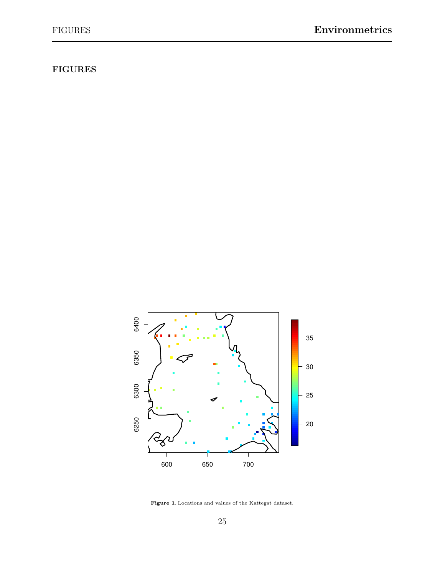## FIGURES



Figure 1. Locations and values of the Kattegat dataset.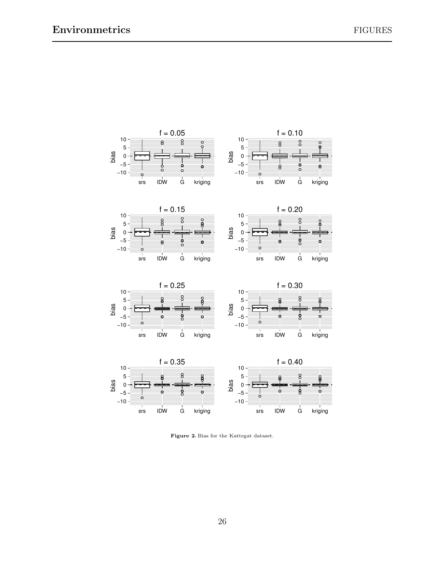

Figure 2. Bias for the Kattegat dataset.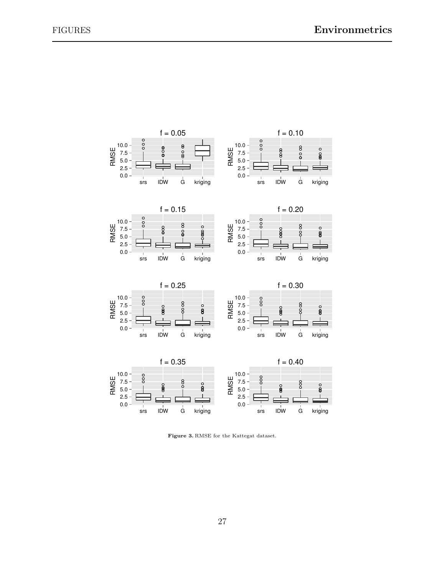

Figure 3. RMSE for the Kattegat dataset.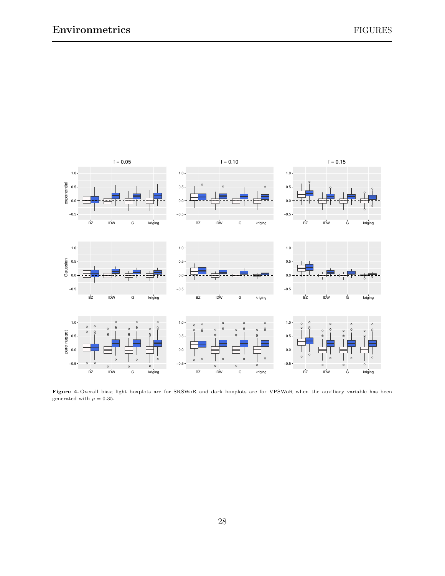

Figure 4. Overall bias; light boxplots are for SRSWoR and dark boxplots are for VPSWoR when the auxiliary variable has been generated with  $\rho = 0.35$ .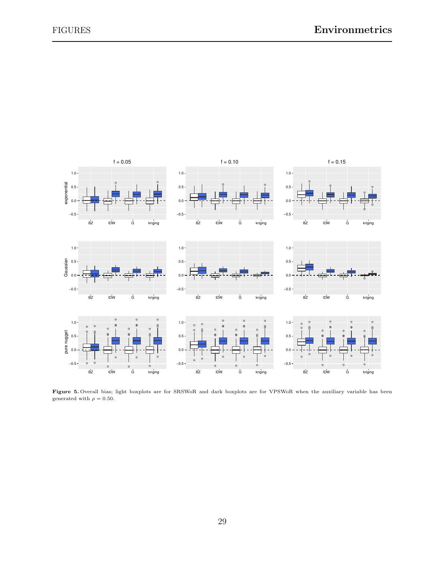

Figure 5. Overall bias; light boxplots are for SRSWoR and dark boxplots are for VPSWoR when the auxiliary variable has been generated with  $\rho = 0.50$ .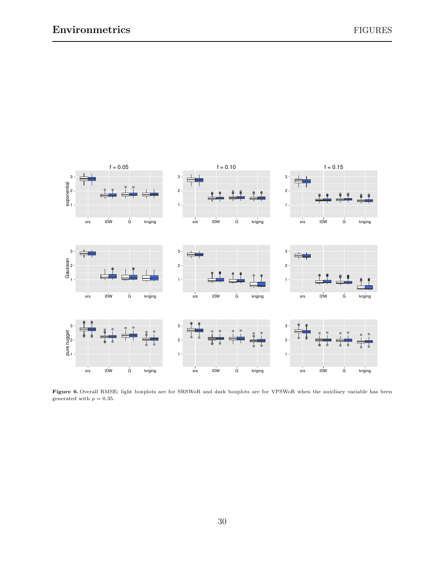

Figure 6. Overall RMSE; light boxplots are for SRSWoR and dark boxplots are for VPSWoR when the auxiliary variable has been generated with  $\rho = 0.35.$